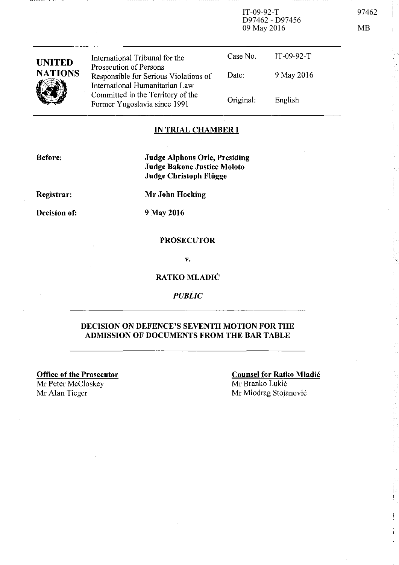$IT-09-92-T$ D97462 - D97456 09 May 2016

| <b>UNITED</b><br><b>NATIONS</b> | International Tribunal for the                                                                    | Case No.  | $IT-09-92-T$ |
|---------------------------------|---------------------------------------------------------------------------------------------------|-----------|--------------|
|                                 | Prosecution of Persons<br>Responsible for Serious Violations of<br>International Humanitarian Law | Date:     | 9 May 2016   |
|                                 | Committed in the Territory of the<br>Former Yugoslavia since 1991                                 | Original: | English      |

## **IN TRIAL CHAMBER I**

**Before:** 

**Judge Alphons Orie, Presiding** Judge Bakone Justice Moloto Judge Christoph Flügge

Registrar:

**Mr John Hocking** 

9 May 2016

Decision of:

**PROSECUTOR** 

 $\mathbf{v}_{\bullet}$ 

RATKO MLADIĆ

**PUBLIC** 

### DECISION ON DEFENCE'S SEVENTH MOTION FOR THE **ADMISSION OF DOCUMENTS FROM THE BAR TABLE**

**Office of the Prosecutor** Mr Peter McCloskey Mr Alan Tieger

**Counsel for Ratko Mladić** 

Mr Branko Lukić Mr Miodrag Stojanović 97462

 $MB$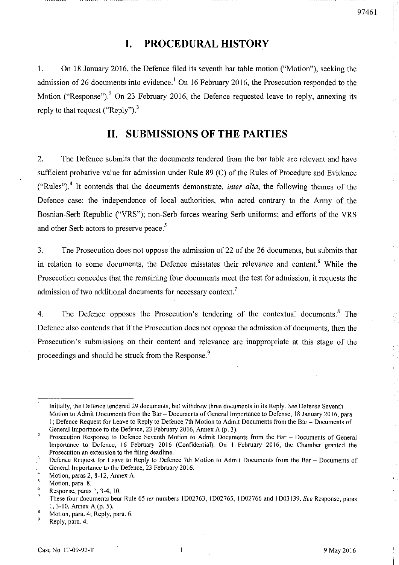# **1. PROCEDURAL HISTORY**

1. Оп 18 January 2016, the Defence filed its seventh bar table motion ("Motion"), seeking the admission of 26 documents into evidence.<sup>1</sup> On 16 February 2016, the Prosecution responded to the Motion ("Response").<sup>2</sup> On 23 February 2016, the Defence requested leave to reply, annexing its reply to that request ("Reply").<sup>3</sup>

## **11. SUBMISSIONS OF** ТНЕ **PARTIES**

2. The Defence submits that the documents tendered from the bar table are relevant and have sufficient probative value for admission under Rule 89 (C) of the Rules of Procedure and Evidence ("Rules").<sup>4</sup> It contends that the documents demonstrate, *inter alia*, the following themes of the Defence case: the independence of local authorities, who acted contrary to the Army of the Bosnian-Serb Republic ("VRS"); non-Serb forces wearing Serb uniforms; and efforts of the VRS and other Serb actors to preserve peace.<sup>5</sup>

3. The Prosecution does not oppose the admission of 22 of the 26 documents, but submits that in relation to some documents, the Defence misstates their relevance and content.<sup>6</sup> While the Prosecution concedes that the remaining four documents meet the test for admission, it requests the admission of two additional documents for necessary context.<sup>7</sup>

4. The Defence opposes the Prosecution's tendering of the contextual documents.<sup>8</sup> The Defence also contends that if the Prosecution does not oppose the admission of documents, then the Prosecution's submissions on their content and relevance are inappropriate at this stage of the proceedings and should be struck from the Response.<sup>9</sup>

Initially, the Defence tendered 29 documents, but withdrew three documents in its Reply. See Defense Seventh Motion to Admit Documents from the Bar - Documents of General Importance to Defense, 18 January 2016, para. 1; Defence Request for Leave to Reply to Defence 7th Motion to Admit Documents from the Bar - Documents of General Importance to the Defence, 23 February 2016, Annex A (р. 3).

<sup>2</sup>  Prosecution Response to Defence Seventh Motion to Admit Documents from the Bar - Documents of General Importance to Defence, 16 February 2016 (Confidential). On 1 February 2016, the Chamber granted the Prosecution an extension to the filing deadline.

Defence Request for Leave to Reply to Defence 7th Motion to Admit Documents from the Bar - Documents of General Importance to the Defence, 23 February 2016.

<sup>4</sup>  Motion, paras 2, 8-12, Annex A.  $\overline{\mathbf{5}}$ 

<sup>6</sup>  Motion, рага. 8.

<sup>7</sup>  Response, paras 1, 3-4, 10.

These four documents bear Rule 65 ter numbers 1D02763, 1D02765, 1D02766 and 1D03139. See Response, paras 1, 3-10, Аппех А (р. 5).  $\bf{8}$ 

Motion, рага. 4; Reply, рага. 6.

<sup>9</sup>  Reply, рага. 4.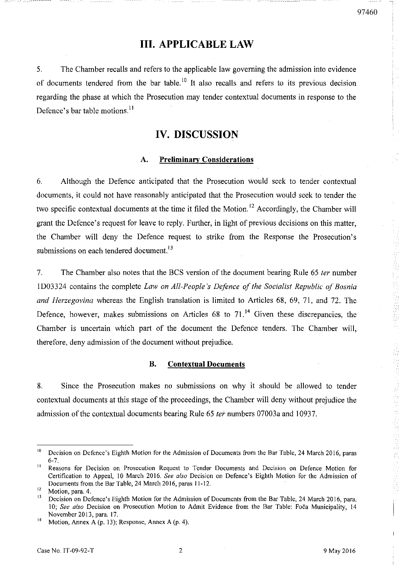# **III. APPLICABLE LAW**

5. The Chamber recalls and refers to the applicable law governing the admission into evidence of documents tendered from the bar table.<sup>10</sup> It also recalls and refers to its previous decision regarding the phase at which the Prosecution may tender contextual documents in response to the Defence's bar table motions.<sup>11</sup>

## **IV. DISCUSSION**

#### **Preliminary Considerations** А.

6. Although the Defence anticipated that the Prosecution would seek to tender contextual documents, it could not have reasonably anticipated that the Prosecution would seek to tender the two specific contextual documents at the time it filed the Motion.<sup>12</sup> Accordingly, the Chamber will grant the Defence's request for leave to reply. Further, in light of previous decisions on this matter, the Chamber will deny the Defence request to strike from the Response the Prosecution's submissions on each tendered document.<sup>13</sup>

 $7<sup>1</sup>$ The Chamber also notes that the BCS version of the document bearing Rule 65 ter number 1D03324 contains the complete Law on All-People's Defence of the Socialist Republic of Bosnia and Herzegovina whereas the English translation is limited to Articles 68, 69, 71, and 72. The Defence, however, makes submissions on Articles 68 to  $71<sup>14</sup>$  Given these discrepancies, the Chamber is uncertain which part of the document the Defence tenders. The Chamber will, therefore, deny admission of the document without prejudice.

#### **B. Contextual Documents**

8. Since the Prosecution makes no submissions on why it should be allowed to tender contextual documents at this stage of the proceedings, the Chamber will deny without prejudice the admission of the contextual documents bearing Rule 65 ter numbers 07003a and 10937.

 $\overline{10}$ Decision on Defence's Eighth Motion for the Admission of Documents from the Bar Table, 24 March 2016, paras  $6 - 7$ .

 $\bar{1}$ Reasons for Decision on Prosecution Request to Tender Documents and Decision on Defence Motion for Certification to Appeal, 10 March 2016. See also Decision on Defence's Eighth Motion for the Admission of Documents from the Bar Table, 24 March 2016, paras 11-12.

 $12$ Motion, para 4.

 $13$ Decision on Defence's Eighth Motion for the Admission of Documents from the Bar Table, 24 March 2016, para. 10; See also Decision on Prosecution Motion to Admit Evidence from the Bar Table: Foča Municipality, 14 November 2013, para. 17.

 $14$ Motion, Annex A (p. 13); Response, Annex A (p. 4).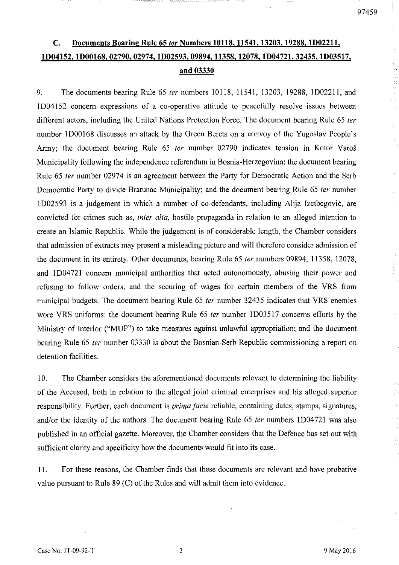### $\mathbf{C}$ . Documents Bearing Rule 65 ter Numbers 10118, 11541, 13203, 19288, 1D02211, 1D04152, 1D00168, 02790, 02974, 1D02593, 09894, 11358, 12078, 1D04721, 32435, 1D03517, and 03330

9. The documents bearing Rule 65 ter numbers 10118, 11541, 13203, 19288, 1D02211, and 1D04152 concern expressions of a co-operative attitude to peacefully resolve issues between different actors, including the United Nations Protection Force. The document bearing Rule 65 ter number 1D00168 discusses an attack by the Green Berets on a convoy of the Yugoslav People's Army; the document bearing Rule 65 ter number 02790 indicates tension in Kotor Varoš Municipality following the independence referendum in Bosnia-Herzegovina; the document bearing Rule 65 ter number 02974 is an agreement between the Party for Democratic Action and the Serb Democratic Party to divide Bratunac Municipality; and the document bearing Rule 65 ter number 1D02593 is a judgement in which a number of co-defendants, including Alija Izetbegović, are convicted for crimes such as, *inter alia*, hostile propaganda in relation to an alleged intention to create an Islamic Republic. While the judgement is of considerable length, the Chamber considers that admission of extracts may present a misleading picture and will therefore consider admission of the document in its entirety. Other documents, bearing Rule 65 ter numbers 09894, 11358, 12078, and 1D04721 concern municipal authorities that acted autonomously, abusing their power and refusing to follow orders, and the securing of wages for certain members of the VRS from municipal budgets. The document bearing Rule 65 ter number 32435 indicates that VRS enemies wore VRS uniforms; the document bearing Rule 65 *ter* number 1D03517 concerns efforts by the Ministry of Interior ("MUP") to take measures against unlawful appropriation; and the document bearing Rule 65 ter number 03330 is about the Bosnian-Serb Republic commissioning a report on detention facilities.

10. The Chamber considers the aforementioned documents relevant to determining the liability of the Accused, both in relation to the alleged joint criminal enterprises and his alleged superior responsibility. Further, each document is *prima facie* reliable, containing dates, stamps, signatures, and/or the identity of the authors. The document bearing Rule 65 ter numbers 1D04721 was also published in an official gazette. Moreover, the Chamber considers that the Defence has set out with sufficient clarity and specificity how the documents would fit into its case.

11. For these reasons, the Chamber finds that these documents are relevant and have probative value pursuant to Rule  $89$  (C) of the Rules and will admit them into evidence.

97459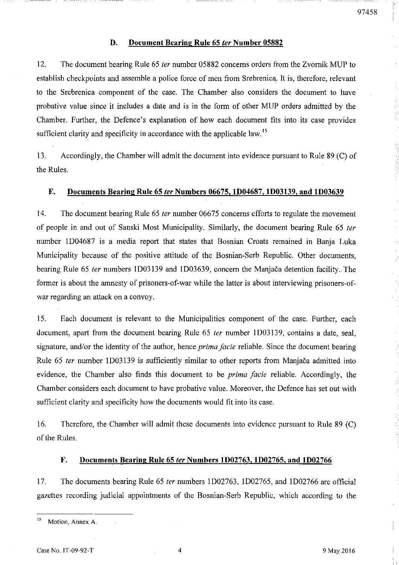#### D. Document Bearing Rule 65 ter Number 05882

 $12.$ The document bearing Rule 65 ter number 05882 concerns orders from the Zvornik MUP to establish checkpoints and assemble a police force of men from Srebrenica. It is, therefore, relevant to the Srebrenica component of the case. The Chamber also considers the document to have probative value since it includes a date and is in the form of other MUP orders admitted by the Chamber. Further, the Defence's explanation of how each document fits into its case provides sufficient clarity and specificity in accordance with the applicable law.<sup>15</sup>

Accordingly, the Chamber will admit the document into evidence pursuant to Rule 89 (C) of 13. the Rules.

#### E. Documents Bearing Rule 65 ter Numbers 06675, 1D04687, 1D03139, and 1D03639

14. The document bearing Rule 65 ter number 06675 concerns efforts to regulate the movement of people in and out of Sanski Most Municipality. Similarly, the document bearing Rule 65 ter number 1D04687 is a media report that states that Bosnian Croats remained in Banja Luka Municipality because of the positive attitude of the Bosnian-Serb Republic. Other documents, bearing Rule 65 ter numbers 1D03139 and 1D03639, concern the Manjača detention facility. The former is about the amnesty of prisoners-of-war while the latter is about interviewing prisoners-ofwar regarding an attack on a convoy.

15. Each document is relevant to the Municipalities component of the case. Further, each document, apart from the document bearing Rule 65 ter number 1D03139, contains a date, seal, signature, and/or the identity of the author, hence *prima facie* reliable. Since the document bearing Rule 65 ter number 1D03139 is sufficiently similar to other reports from Manjača admitted into evidence, the Chamber also finds this document to be *prima facie* reliable. Accordingly, the Chamber considers each document to have probative value. Moreover, the Defence has set out with sufficient clarity and specificity how the documents would fit into its case.

16. Therefore, the Chamber will admit these documents into evidence pursuant to Rule 89 (C) of the Rules.

#### F. Documents Bearing Rule 65 ter Numbers 1D02763, 1D02765, and 1D02766

17. The documents bearing Rule 65 ter numbers 1D02763, 1D02765, and 1D02766 are official gazettes recording judicial appointments of the Bosnian-Serb Republic, which according to the

 $\overline{4}$ 

 $15$ Motion, Annex A.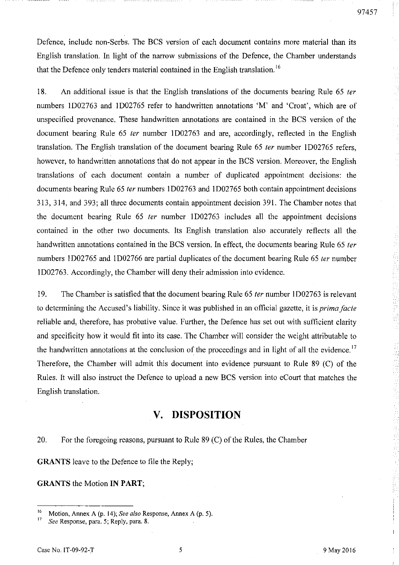Defence, include non-Serbs. The BCS version of each document contains more material than its English translation. In light of the narrow submissions of the Defence, the Chamber understands that the Defence only tenders material contained in the English translation.<sup>16</sup>

18. An additional issue is that the English translations of the documents bearing Rule 65 ter numbers 1D02763 and 1D02765 refer to handwritten annotations 'M' and 'Croat', which are of unspecified provenance. These handwritten annotations are contained in the BCS version of the document bearing Rule 65 ter number 1D02763 and are, accordingly, reflected in the English translation. The English translation of the document bearing Rule 65 ter number 1D02765 refers, however, to handwritten annotations that do not appear in the BCS version. Moreover, the English translations of each document contain a number of duplicated appointment decisions: the documents bearing Rule 65 ter numbers 1D02763 and 1D02765 both contain appointment decisions 313, 314, and 393; all three documents contain appointment decision 391. The Chamber notes that the document bearing Rule 65 ter number 1D02763 includes all the appointment decisions contained in the other two documents. Its English translation also accurately reflects all the handwritten annotations contained in the BCS version. In effect, the documents bearing Rule 65 ter numbers 1D02765 and 1D02766 are partial duplicates of the document bearing Rule 65 ter number 1D02763. Accordingly, the Chamber will deny their admission into evidence.

19. The Chamber is satisfied that the document bearing Rule 65 *ter* number 1D02763 is relevant to determining the Accused's liability. Since it was published in an official gazette, it is *prima facie* reliable and, therefore, has probative value. Further, the Defence has set out with sufficient clarity and specificity how it would fit into its case. The Chamber will consider the weight attributable to the handwritten annotations at the conclusion of the proceedings and in light of all the evidence.<sup>17</sup> Therefore, the Chamber will admit this document into evidence pursuant to Rule 89 (C) of the Rules. It will also instruct the Defence to upload a new BCS version into eCourt that matches the English translation.

## V. DISPOSITION

20. For the foregoing reasons, pursuant to Rule  $89 \, (C)$  of the Rules, the Chamber

**GRANTS** leave to the Defence to file the Reply;

**GRANTS** the Motion IN PART;

 $16$ Motion, Annex A (p. 14); See also Response, Annex A (p. 5).

 $17$ See Response, para. 5; Reply, para. 8.